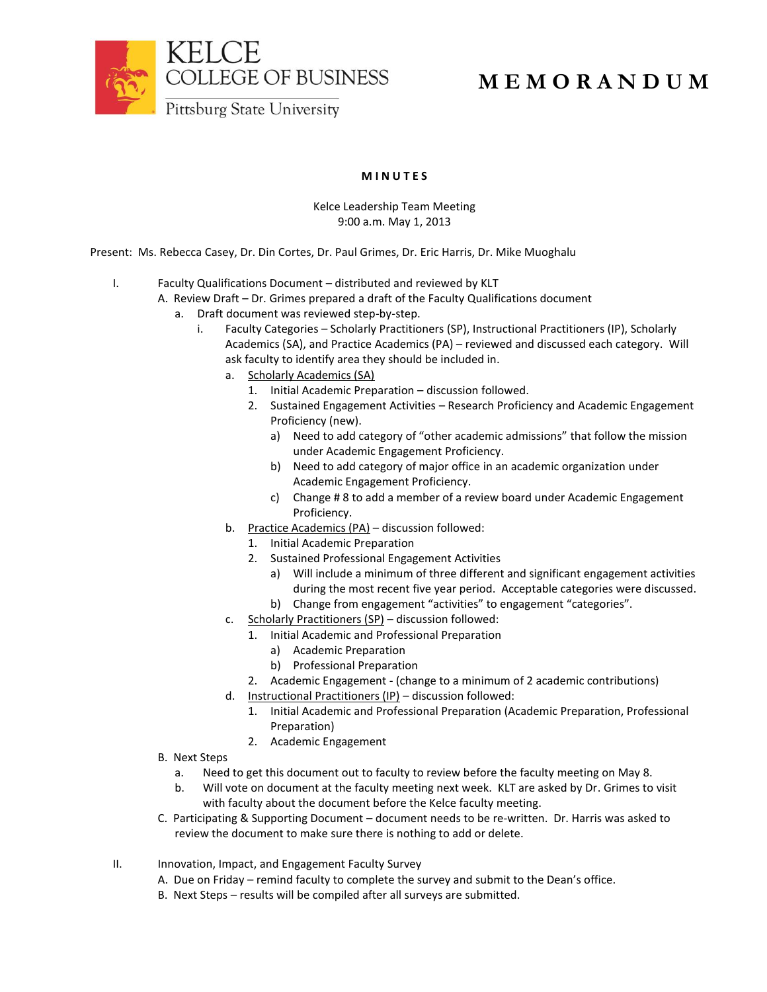

## **M E M O R A N D U M**

## **M I N U T E S**

## Kelce Leadership Team Meeting 9:00 a.m. May 1, 2013

Present: Ms. Rebecca Casey, Dr. Din Cortes, Dr. Paul Grimes, Dr. Eric Harris, Dr. Mike Muoghalu

- I. Faculty Qualifications Document distributed and reviewed by KLT
	- A. Review Draft Dr. Grimes prepared a draft of the Faculty Qualifications document
		- a. Draft document was reviewed step-by-step.
			- i. Faculty Categories Scholarly Practitioners (SP), Instructional Practitioners (IP), Scholarly Academics (SA), and Practice Academics (PA) – reviewed and discussed each category. Will ask faculty to identify area they should be included in.
				- a. Scholarly Academics (SA)
					- 1. Initial Academic Preparation discussion followed.
					- 2. Sustained Engagement Activities Research Proficiency and Academic Engagement Proficiency (new).
						- a) Need to add category of "other academic admissions" that follow the mission under Academic Engagement Proficiency.
						- b) Need to add category of major office in an academic organization under Academic Engagement Proficiency.
						- c) Change # 8 to add a member of a review board under Academic Engagement Proficiency.
				- b. Practice Academics (PA) discussion followed:
					- 1. Initial Academic Preparation
					- 2. Sustained Professional Engagement Activities
						- a) Will include a minimum of three different and significant engagement activities during the most recent five year period. Acceptable categories were discussed.
						- b) Change from engagement "activities" to engagement "categories".
				- c. Scholarly Practitioners (SP) discussion followed:
					- 1. Initial Academic and Professional Preparation
						- a) Academic Preparation
						- b) Professional Preparation
					- 2. Academic Engagement (change to a minimum of 2 academic contributions)
				- d. Instructional Practitioners (IP) discussion followed:
					- 1. Initial Academic and Professional Preparation (Academic Preparation, Professional Preparation)
					- 2. Academic Engagement
	- B. Next Steps
		- a. Need to get this document out to faculty to review before the faculty meeting on May 8.
		- b. Will vote on document at the faculty meeting next week. KLT are asked by Dr. Grimes to visit with faculty about the document before the Kelce faculty meeting.
	- C. Participating & Supporting Document document needs to be re-written. Dr. Harris was asked to review the document to make sure there is nothing to add or delete.
- II. Innovation, Impact, and Engagement Faculty Survey
	- A. Due on Friday remind faculty to complete the survey and submit to the Dean's office.
	- B. Next Steps results will be compiled after all surveys are submitted.